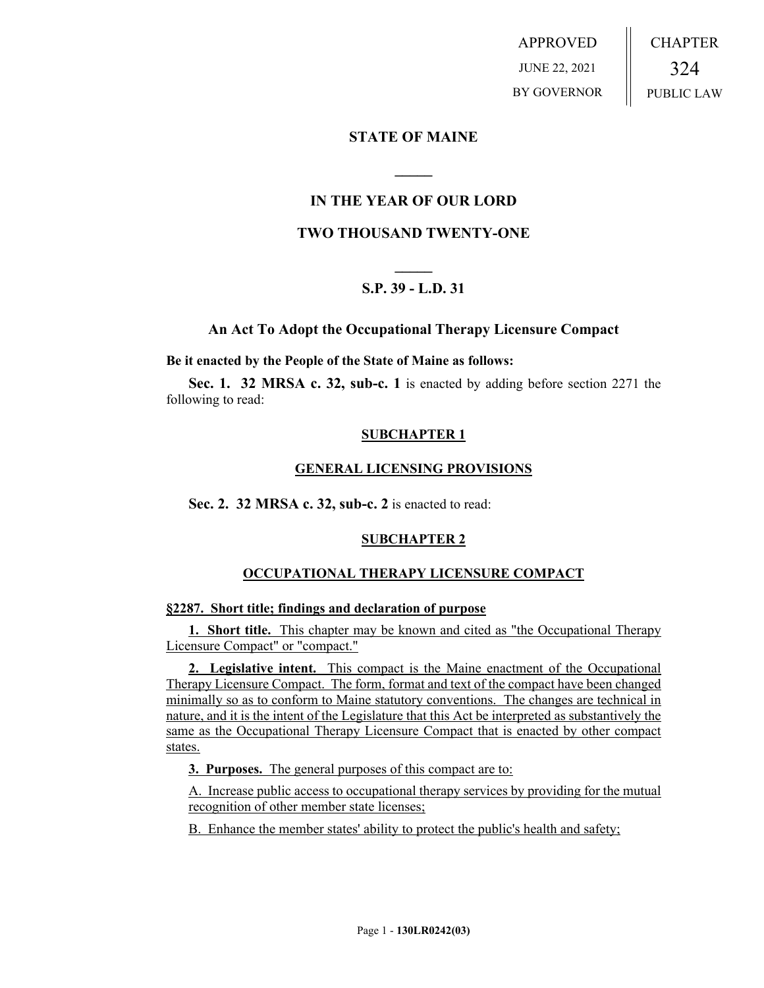APPROVED JUNE 22, 2021 BY GOVERNOR CHAPTER 324 PUBLIC LAW

# **STATE OF MAINE**

# **IN THE YEAR OF OUR LORD**

**\_\_\_\_\_**

# **TWO THOUSAND TWENTY-ONE**

# **\_\_\_\_\_ S.P. 39 - L.D. 31**

# **An Act To Adopt the Occupational Therapy Licensure Compact**

#### **Be it enacted by the People of the State of Maine as follows:**

**Sec. 1. 32 MRSA c. 32, sub-c. 1** is enacted by adding before section 2271 the following to read:

#### **SUBCHAPTER 1**

#### **GENERAL LICENSING PROVISIONS**

**Sec. 2. 32 MRSA c. 32, sub-c. 2** is enacted to read:

# **SUBCHAPTER 2**

# **OCCUPATIONAL THERAPY LICENSURE COMPACT**

#### **§2287. Short title; findings and declaration of purpose**

**1. Short title.** This chapter may be known and cited as "the Occupational Therapy Licensure Compact" or "compact."

**2. Legislative intent.** This compact is the Maine enactment of the Occupational Therapy Licensure Compact. The form, format and text of the compact have been changed minimally so as to conform to Maine statutory conventions. The changes are technical in nature, and it is the intent of the Legislature that this Act be interpreted as substantively the same as the Occupational Therapy Licensure Compact that is enacted by other compact states.

**3. Purposes.** The general purposes of this compact are to:

A. Increase public access to occupational therapy services by providing for the mutual recognition of other member state licenses;

B. Enhance the member states' ability to protect the public's health and safety;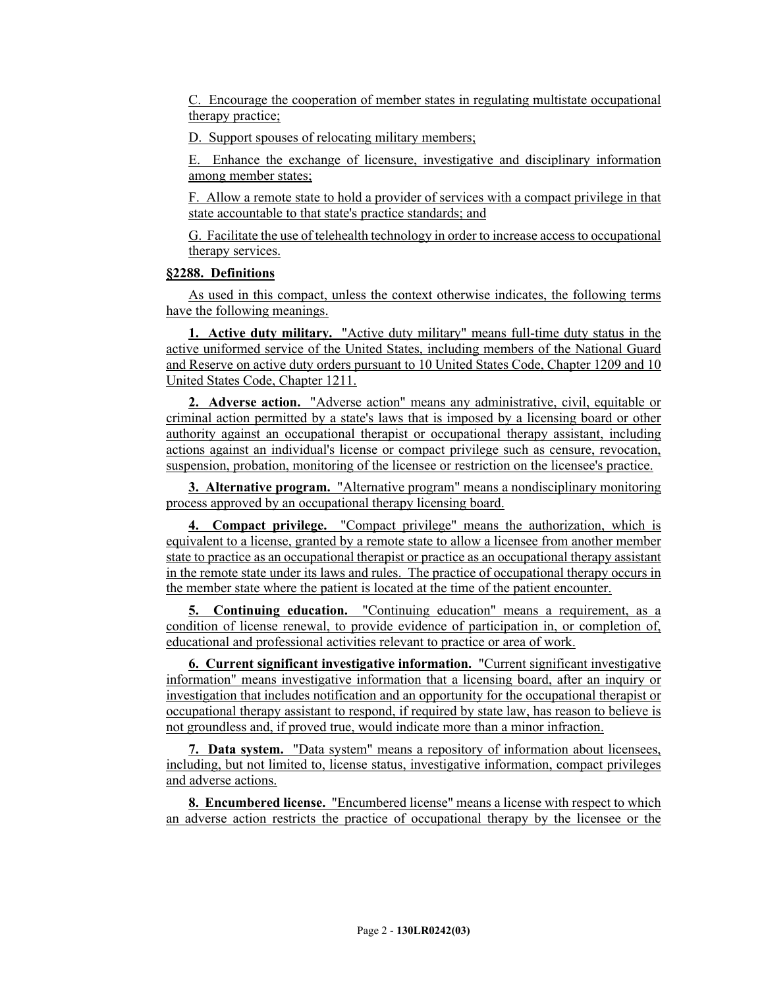C. Encourage the cooperation of member states in regulating multistate occupational therapy practice;

D. Support spouses of relocating military members;

E. Enhance the exchange of licensure, investigative and disciplinary information among member states;

F. Allow a remote state to hold a provider of services with a compact privilege in that state accountable to that state's practice standards; and

G. Facilitate the use of telehealth technology in order to increase access to occupational therapy services.

#### **§2288. Definitions**

As used in this compact, unless the context otherwise indicates, the following terms have the following meanings.

**1. Active duty military.** "Active duty military" means full-time duty status in the active uniformed service of the United States, including members of the National Guard and Reserve on active duty orders pursuant to 10 United States Code, Chapter 1209 and 10 United States Code, Chapter 1211.

**2. Adverse action.** "Adverse action" means any administrative, civil, equitable or criminal action permitted by a state's laws that is imposed by a licensing board or other authority against an occupational therapist or occupational therapy assistant, including actions against an individual's license or compact privilege such as censure, revocation, suspension, probation, monitoring of the licensee or restriction on the licensee's practice.

**3. Alternative program.** "Alternative program" means a nondisciplinary monitoring process approved by an occupational therapy licensing board.

**4. Compact privilege.** "Compact privilege" means the authorization, which is equivalent to a license, granted by a remote state to allow a licensee from another member state to practice as an occupational therapist or practice as an occupational therapy assistant in the remote state under its laws and rules. The practice of occupational therapy occurs in the member state where the patient is located at the time of the patient encounter.

**5. Continuing education.** "Continuing education" means a requirement, as a condition of license renewal, to provide evidence of participation in, or completion of, educational and professional activities relevant to practice or area of work.

**6. Current significant investigative information.** "Current significant investigative information" means investigative information that a licensing board, after an inquiry or investigation that includes notification and an opportunity for the occupational therapist or occupational therapy assistant to respond, if required by state law, has reason to believe is not groundless and, if proved true, would indicate more than a minor infraction.

**7. Data system.** "Data system" means a repository of information about licensees, including, but not limited to, license status, investigative information, compact privileges and adverse actions.

**8. Encumbered license.** "Encumbered license" means a license with respect to which an adverse action restricts the practice of occupational therapy by the licensee or the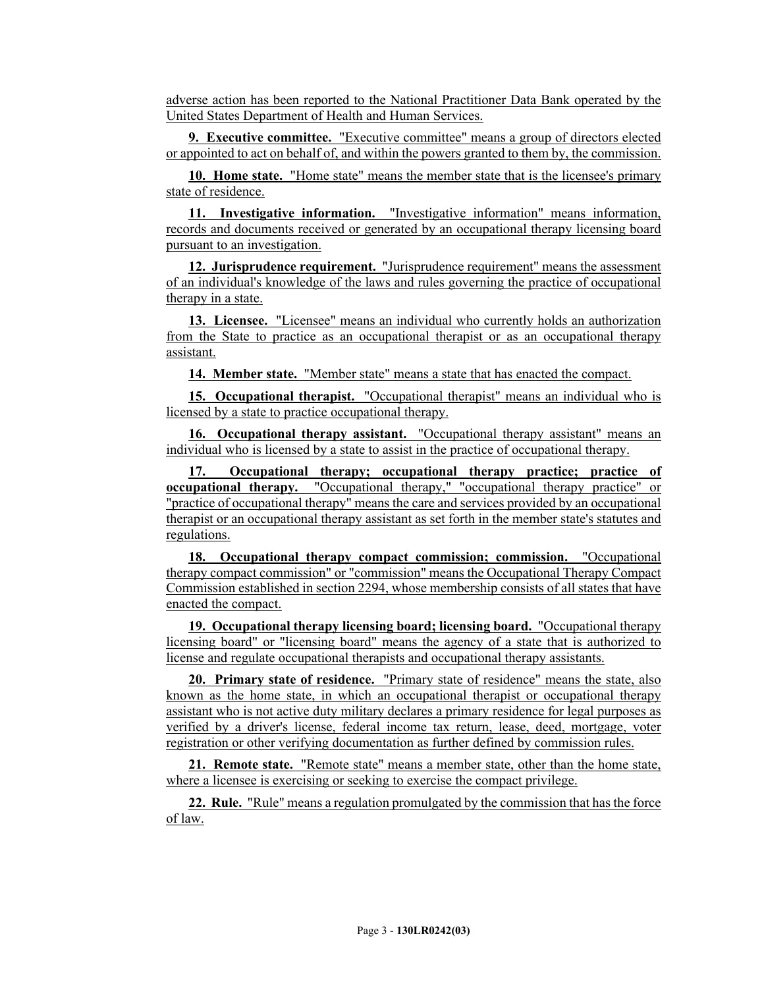adverse action has been reported to the National Practitioner Data Bank operated by the United States Department of Health and Human Services.

**9. Executive committee.** "Executive committee" means a group of directors elected or appointed to act on behalf of, and within the powers granted to them by, the commission.

**10. Home state.** "Home state" means the member state that is the licensee's primary state of residence.

**11. Investigative information.** "Investigative information" means information, records and documents received or generated by an occupational therapy licensing board pursuant to an investigation.

**12. Jurisprudence requirement.** "Jurisprudence requirement" means the assessment of an individual's knowledge of the laws and rules governing the practice of occupational therapy in a state.

**13. Licensee.** "Licensee" means an individual who currently holds an authorization from the State to practice as an occupational therapist or as an occupational therapy assistant.

**14. Member state.** "Member state" means a state that has enacted the compact.

**15. Occupational therapist.** "Occupational therapist" means an individual who is licensed by a state to practice occupational therapy.

**16. Occupational therapy assistant.** "Occupational therapy assistant" means an individual who is licensed by a state to assist in the practice of occupational therapy.

**17. Occupational therapy; occupational therapy practice; practice of occupational therapy.** "Occupational therapy," "occupational therapy practice" or "practice of occupational therapy" means the care and services provided by an occupational therapist or an occupational therapy assistant as set forth in the member state's statutes and regulations.

**18. Occupational therapy compact commission; commission.** "Occupational therapy compact commission" or "commission" means the Occupational Therapy Compact Commission established in section 2294, whose membership consists of all states that have enacted the compact.

**19. Occupational therapy licensing board; licensing board.** "Occupational therapy licensing board" or "licensing board" means the agency of a state that is authorized to license and regulate occupational therapists and occupational therapy assistants.

**20. Primary state of residence.** "Primary state of residence" means the state, also known as the home state, in which an occupational therapist or occupational therapy assistant who is not active duty military declares a primary residence for legal purposes as verified by a driver's license, federal income tax return, lease, deed, mortgage, voter registration or other verifying documentation as further defined by commission rules.

**21. Remote state.** "Remote state" means a member state, other than the home state, where a licensee is exercising or seeking to exercise the compact privilege.

**22. Rule.** "Rule" means a regulation promulgated by the commission that has the force of law.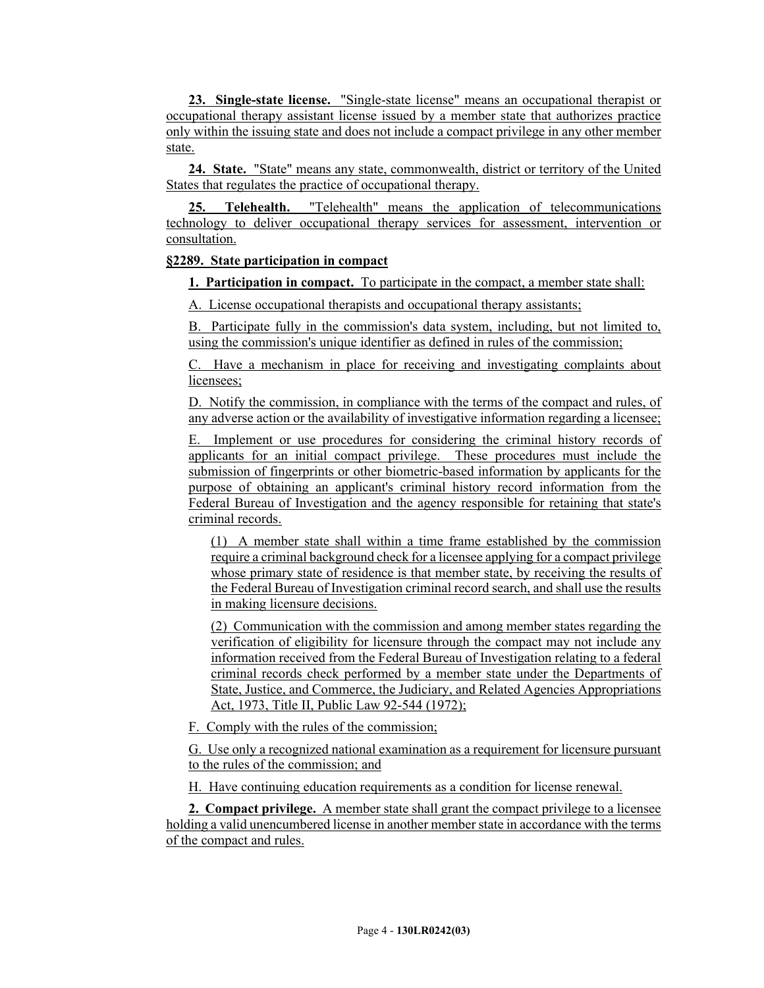**23. Single-state license.** "Single-state license" means an occupational therapist or occupational therapy assistant license issued by a member state that authorizes practice only within the issuing state and does not include a compact privilege in any other member state.

**24. State.** "State" means any state, commonwealth, district or territory of the United States that regulates the practice of occupational therapy.

**25. Telehealth.** "Telehealth" means the application of telecommunications technology to deliver occupational therapy services for assessment, intervention or consultation.

# **§2289. State participation in compact**

**1. Participation in compact.** To participate in the compact, a member state shall:

A. License occupational therapists and occupational therapy assistants;

B. Participate fully in the commission's data system, including, but not limited to, using the commission's unique identifier as defined in rules of the commission;

C. Have a mechanism in place for receiving and investigating complaints about licensees;

D. Notify the commission, in compliance with the terms of the compact and rules, of any adverse action or the availability of investigative information regarding a licensee;

E. Implement or use procedures for considering the criminal history records of applicants for an initial compact privilege. These procedures must include the submission of fingerprints or other biometric-based information by applicants for the purpose of obtaining an applicant's criminal history record information from the Federal Bureau of Investigation and the agency responsible for retaining that state's criminal records.

(1) A member state shall within a time frame established by the commission require a criminal background check for a licensee applying for a compact privilege whose primary state of residence is that member state, by receiving the results of the Federal Bureau of Investigation criminal record search, and shall use the results in making licensure decisions.

(2) Communication with the commission and among member states regarding the verification of eligibility for licensure through the compact may not include any information received from the Federal Bureau of Investigation relating to a federal criminal records check performed by a member state under the Departments of State, Justice, and Commerce, the Judiciary, and Related Agencies Appropriations Act, 1973, Title II, Public Law 92-544 (1972);

F. Comply with the rules of the commission;

G. Use only a recognized national examination as a requirement for licensure pursuant to the rules of the commission; and

H. Have continuing education requirements as a condition for license renewal.

**2. Compact privilege.** A member state shall grant the compact privilege to a licensee holding a valid unencumbered license in another member state in accordance with the terms of the compact and rules.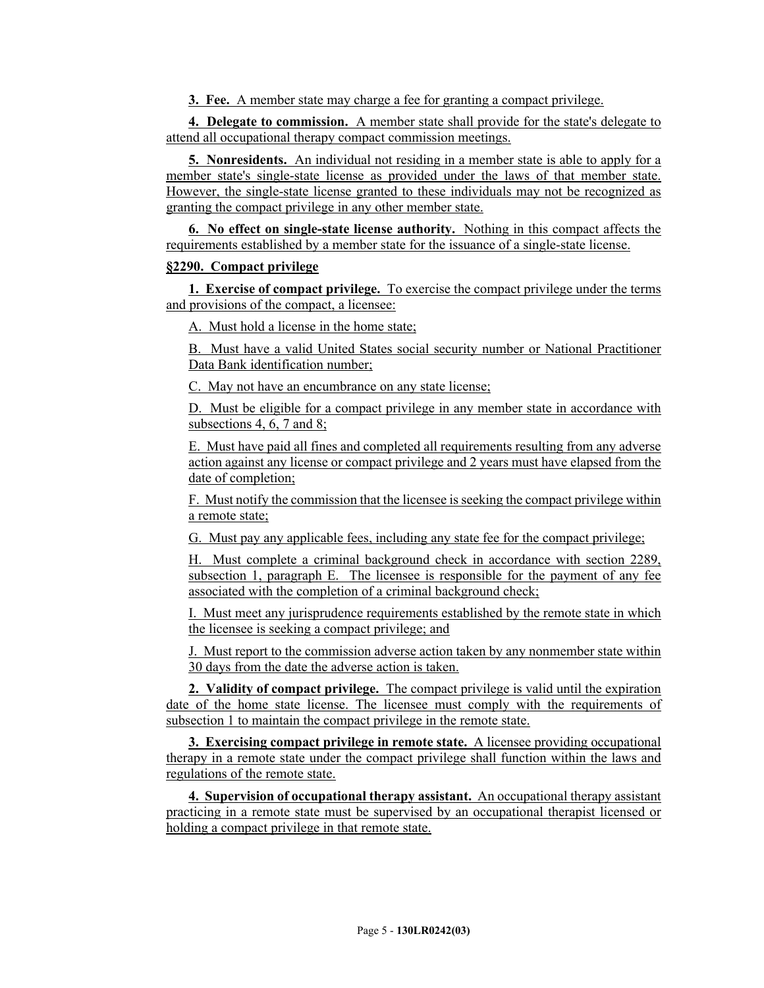**3. Fee.** A member state may charge a fee for granting a compact privilege.

**4. Delegate to commission.** A member state shall provide for the state's delegate to attend all occupational therapy compact commission meetings.

**5. Nonresidents.** An individual not residing in a member state is able to apply for a member state's single-state license as provided under the laws of that member state. However, the single-state license granted to these individuals may not be recognized as granting the compact privilege in any other member state.

**6. No effect on single-state license authority.** Nothing in this compact affects the requirements established by a member state for the issuance of a single-state license.

#### **§2290. Compact privilege**

**1. Exercise of compact privilege.** To exercise the compact privilege under the terms and provisions of the compact, a licensee:

A. Must hold a license in the home state;

B. Must have a valid United States social security number or National Practitioner Data Bank identification number;

C. May not have an encumbrance on any state license;

D. Must be eligible for a compact privilege in any member state in accordance with subsections 4, 6, 7 and 8;

E. Must have paid all fines and completed all requirements resulting from any adverse action against any license or compact privilege and 2 years must have elapsed from the date of completion;

F. Must notify the commission that the licensee is seeking the compact privilege within a remote state;

G. Must pay any applicable fees, including any state fee for the compact privilege;

H. Must complete a criminal background check in accordance with section 2289, subsection 1, paragraph E. The licensee is responsible for the payment of any fee associated with the completion of a criminal background check;

I. Must meet any jurisprudence requirements established by the remote state in which the licensee is seeking a compact privilege; and

J. Must report to the commission adverse action taken by any nonmember state within 30 days from the date the adverse action is taken.

**2. Validity of compact privilege.** The compact privilege is valid until the expiration date of the home state license. The licensee must comply with the requirements of subsection 1 to maintain the compact privilege in the remote state.

**3. Exercising compact privilege in remote state.** A licensee providing occupational therapy in a remote state under the compact privilege shall function within the laws and regulations of the remote state.

**4. Supervision of occupational therapy assistant.** An occupational therapy assistant practicing in a remote state must be supervised by an occupational therapist licensed or holding a compact privilege in that remote state.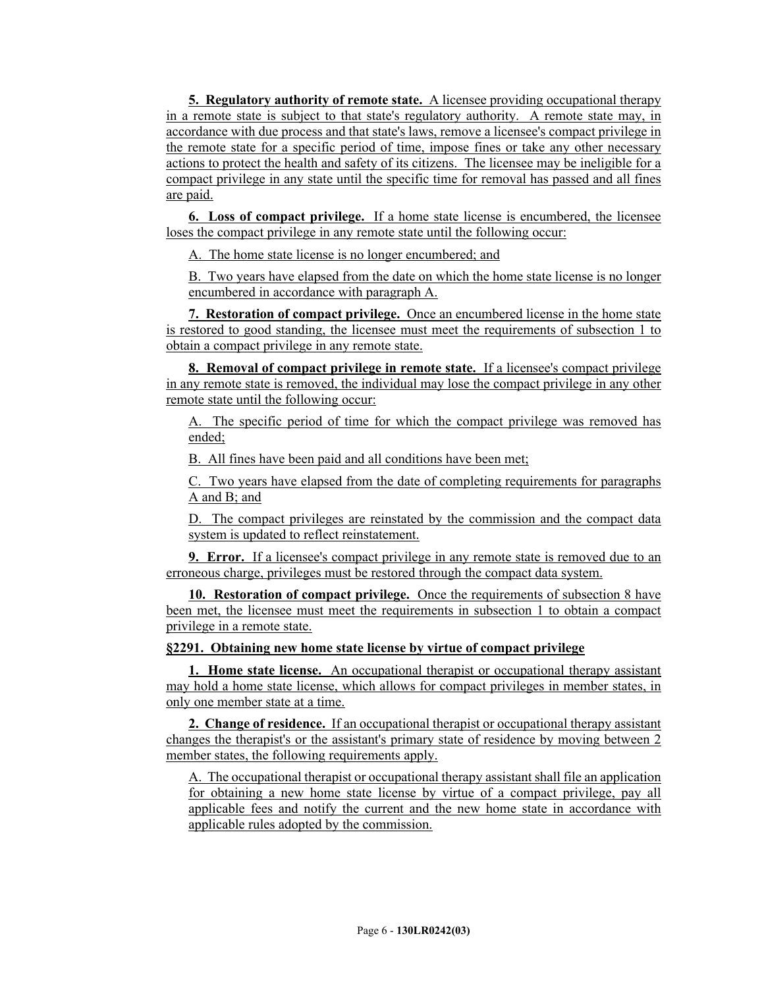**5. Regulatory authority of remote state.** A licensee providing occupational therapy in a remote state is subject to that state's regulatory authority. A remote state may, in accordance with due process and that state's laws, remove a licensee's compact privilege in the remote state for a specific period of time, impose fines or take any other necessary actions to protect the health and safety of its citizens. The licensee may be ineligible for a compact privilege in any state until the specific time for removal has passed and all fines are paid.

**6. Loss of compact privilege.** If a home state license is encumbered, the licensee loses the compact privilege in any remote state until the following occur:

A. The home state license is no longer encumbered; and

B. Two years have elapsed from the date on which the home state license is no longer encumbered in accordance with paragraph A.

**7. Restoration of compact privilege.** Once an encumbered license in the home state is restored to good standing, the licensee must meet the requirements of subsection 1 to obtain a compact privilege in any remote state.

**8. Removal of compact privilege in remote state.** If a licensee's compact privilege in any remote state is removed, the individual may lose the compact privilege in any other remote state until the following occur:

A. The specific period of time for which the compact privilege was removed has ended;

B. All fines have been paid and all conditions have been met;

C. Two years have elapsed from the date of completing requirements for paragraphs A and B; and

D. The compact privileges are reinstated by the commission and the compact data system is updated to reflect reinstatement.

**9. Error.** If a licensee's compact privilege in any remote state is removed due to an erroneous charge, privileges must be restored through the compact data system.

**10. Restoration of compact privilege.** Once the requirements of subsection 8 have been met, the licensee must meet the requirements in subsection 1 to obtain a compact privilege in a remote state.

#### **§2291. Obtaining new home state license by virtue of compact privilege**

**1. Home state license.** An occupational therapist or occupational therapy assistant may hold a home state license, which allows for compact privileges in member states, in only one member state at a time.

**2. Change of residence.** If an occupational therapist or occupational therapy assistant changes the therapist's or the assistant's primary state of residence by moving between 2 member states, the following requirements apply.

A. The occupational therapist or occupational therapy assistant shall file an application for obtaining a new home state license by virtue of a compact privilege, pay all applicable fees and notify the current and the new home state in accordance with applicable rules adopted by the commission.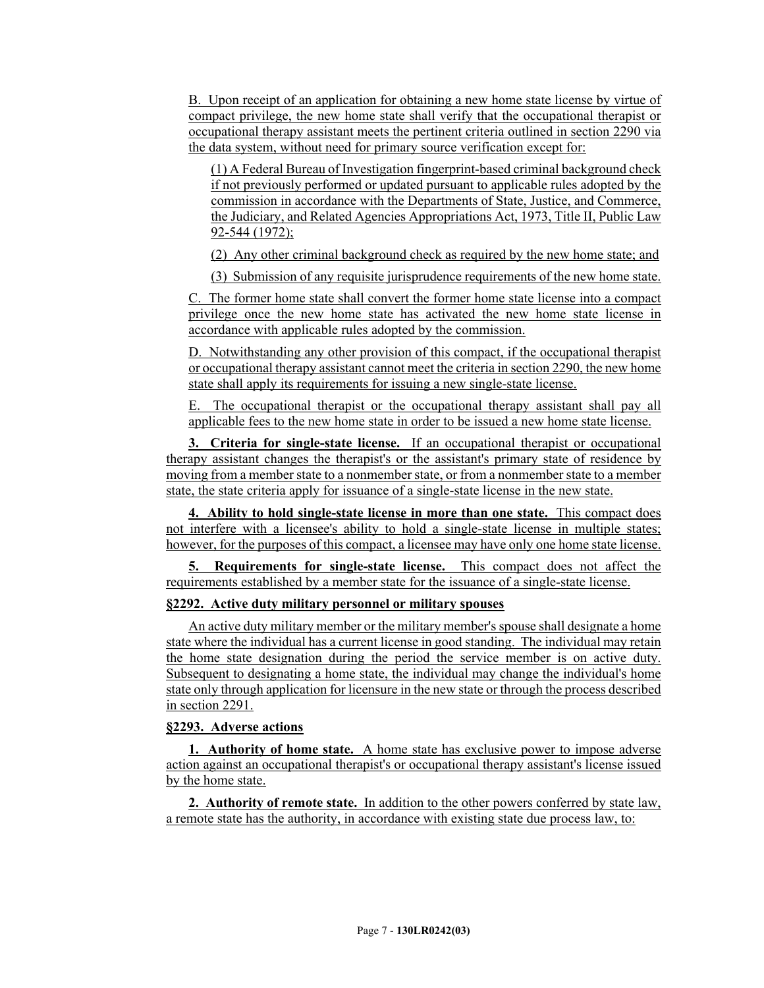B. Upon receipt of an application for obtaining a new home state license by virtue of compact privilege, the new home state shall verify that the occupational therapist or occupational therapy assistant meets the pertinent criteria outlined in section 2290 via the data system, without need for primary source verification except for:

(1) A Federal Bureau of Investigation fingerprint-based criminal background check if not previously performed or updated pursuant to applicable rules adopted by the commission in accordance with the Departments of State, Justice, and Commerce, the Judiciary, and Related Agencies Appropriations Act, 1973, Title II, Public Law 92-544 (1972);

(2) Any other criminal background check as required by the new home state; and

(3) Submission of any requisite jurisprudence requirements of the new home state.

C. The former home state shall convert the former home state license into a compact privilege once the new home state has activated the new home state license in accordance with applicable rules adopted by the commission.

D. Notwithstanding any other provision of this compact, if the occupational therapist or occupational therapy assistant cannot meet the criteria in section 2290, the new home state shall apply its requirements for issuing a new single-state license.

E. The occupational therapist or the occupational therapy assistant shall pay all applicable fees to the new home state in order to be issued a new home state license.

**3. Criteria for single-state license.** If an occupational therapist or occupational therapy assistant changes the therapist's or the assistant's primary state of residence by moving from a member state to a nonmember state, or from a nonmember state to a member state, the state criteria apply for issuance of a single-state license in the new state.

**4. Ability to hold single-state license in more than one state.** This compact does not interfere with a licensee's ability to hold a single-state license in multiple states; however, for the purposes of this compact, a licensee may have only one home state license.

**5. Requirements for single-state license.** This compact does not affect the requirements established by a member state for the issuance of a single-state license.

# **§2292. Active duty military personnel or military spouses**

An active duty military member or the military member's spouse shall designate a home state where the individual has a current license in good standing. The individual may retain the home state designation during the period the service member is on active duty. Subsequent to designating a home state, the individual may change the individual's home state only through application for licensure in the new state or through the process described in section 2291.

# **§2293. Adverse actions**

**1. Authority of home state.** A home state has exclusive power to impose adverse action against an occupational therapist's or occupational therapy assistant's license issued by the home state.

**2. Authority of remote state.** In addition to the other powers conferred by state law, a remote state has the authority, in accordance with existing state due process law, to: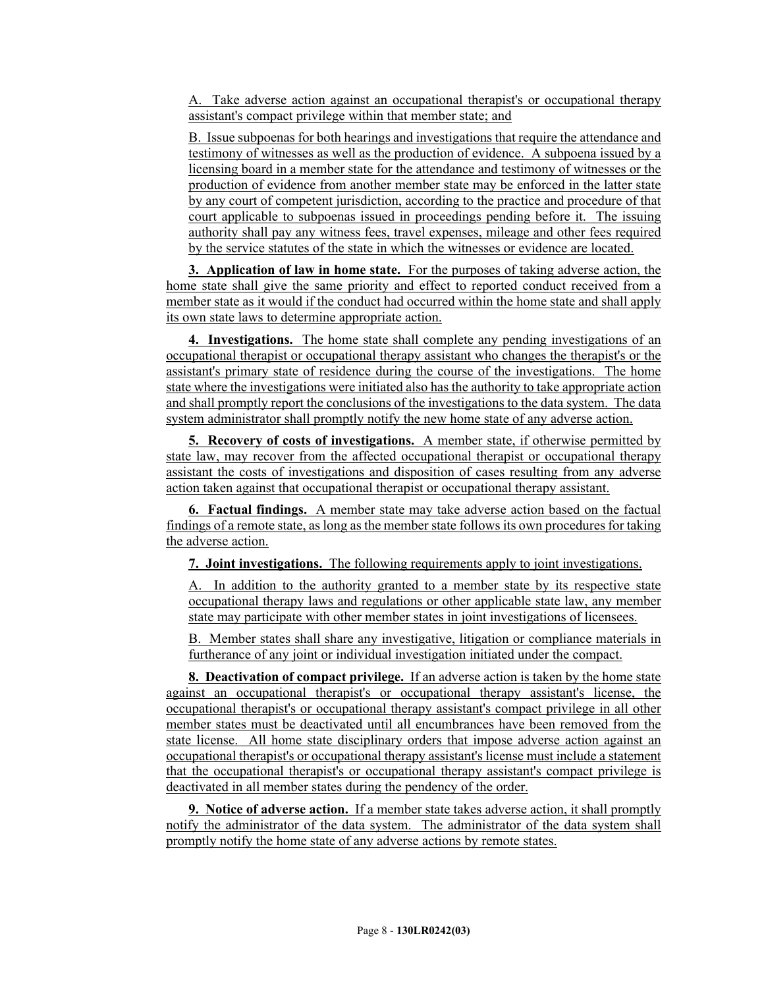A. Take adverse action against an occupational therapist's or occupational therapy assistant's compact privilege within that member state; and

B. Issue subpoenas for both hearings and investigations that require the attendance and testimony of witnesses as well as the production of evidence. A subpoena issued by a licensing board in a member state for the attendance and testimony of witnesses or the production of evidence from another member state may be enforced in the latter state by any court of competent jurisdiction, according to the practice and procedure of that court applicable to subpoenas issued in proceedings pending before it. The issuing authority shall pay any witness fees, travel expenses, mileage and other fees required by the service statutes of the state in which the witnesses or evidence are located.

**3. Application of law in home state.** For the purposes of taking adverse action, the home state shall give the same priority and effect to reported conduct received from a member state as it would if the conduct had occurred within the home state and shall apply its own state laws to determine appropriate action.

**4. Investigations.** The home state shall complete any pending investigations of an occupational therapist or occupational therapy assistant who changes the therapist's or the assistant's primary state of residence during the course of the investigations. The home state where the investigations were initiated also has the authority to take appropriate action and shall promptly report the conclusions of the investigations to the data system. The data system administrator shall promptly notify the new home state of any adverse action.

**5. Recovery of costs of investigations.** A member state, if otherwise permitted by state law, may recover from the affected occupational therapist or occupational therapy assistant the costs of investigations and disposition of cases resulting from any adverse action taken against that occupational therapist or occupational therapy assistant.

**6. Factual findings.** A member state may take adverse action based on the factual findings of a remote state, as long as the member state follows its own procedures for taking the adverse action.

**7. Joint investigations.** The following requirements apply to joint investigations.

A. In addition to the authority granted to a member state by its respective state occupational therapy laws and regulations or other applicable state law, any member state may participate with other member states in joint investigations of licensees.

B. Member states shall share any investigative, litigation or compliance materials in furtherance of any joint or individual investigation initiated under the compact.

**8. Deactivation of compact privilege.** If an adverse action is taken by the home state against an occupational therapist's or occupational therapy assistant's license, the occupational therapist's or occupational therapy assistant's compact privilege in all other member states must be deactivated until all encumbrances have been removed from the state license. All home state disciplinary orders that impose adverse action against an occupational therapist's or occupational therapy assistant's license must include a statement that the occupational therapist's or occupational therapy assistant's compact privilege is deactivated in all member states during the pendency of the order.

**9. Notice of adverse action.** If a member state takes adverse action, it shall promptly notify the administrator of the data system. The administrator of the data system shall promptly notify the home state of any adverse actions by remote states.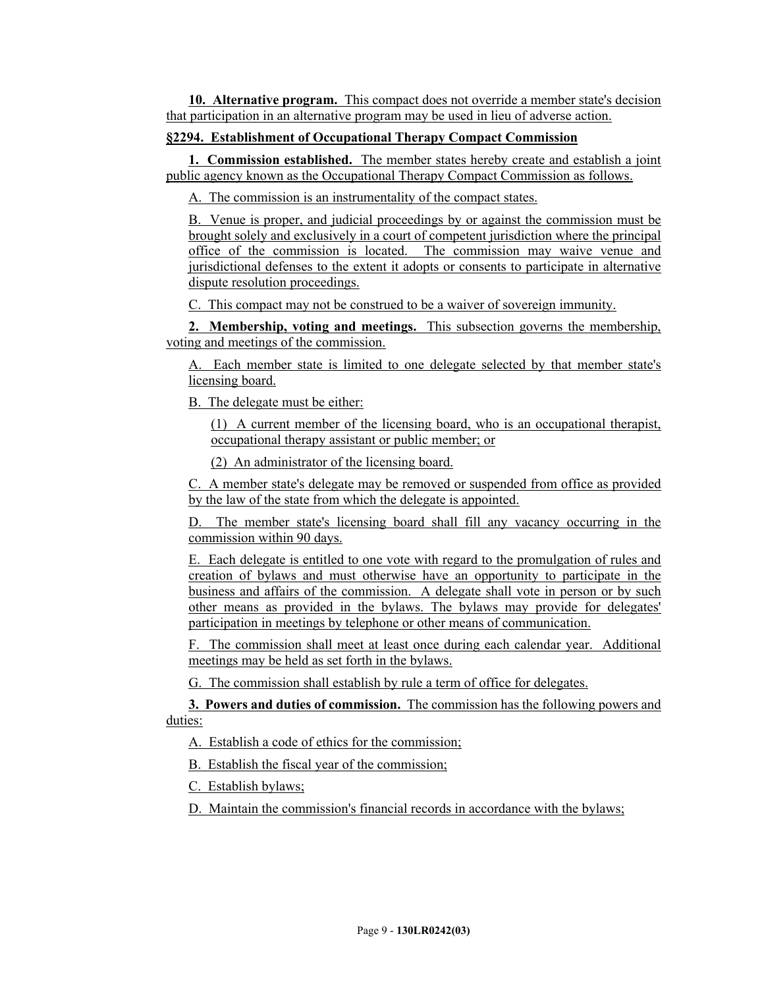**10. Alternative program.** This compact does not override a member state's decision that participation in an alternative program may be used in lieu of adverse action.

#### **§2294. Establishment of Occupational Therapy Compact Commission**

**1. Commission established.** The member states hereby create and establish a joint public agency known as the Occupational Therapy Compact Commission as follows.

A. The commission is an instrumentality of the compact states.

B. Venue is proper, and judicial proceedings by or against the commission must be brought solely and exclusively in a court of competent jurisdiction where the principal office of the commission is located. The commission may waive venue and jurisdictional defenses to the extent it adopts or consents to participate in alternative dispute resolution proceedings.

C. This compact may not be construed to be a waiver of sovereign immunity.

**2. Membership, voting and meetings.** This subsection governs the membership, voting and meetings of the commission.

A. Each member state is limited to one delegate selected by that member state's licensing board.

B. The delegate must be either:

(1) A current member of the licensing board, who is an occupational therapist, occupational therapy assistant or public member; or

(2) An administrator of the licensing board.

C. A member state's delegate may be removed or suspended from office as provided by the law of the state from which the delegate is appointed.

D. The member state's licensing board shall fill any vacancy occurring in the commission within 90 days.

E. Each delegate is entitled to one vote with regard to the promulgation of rules and creation of bylaws and must otherwise have an opportunity to participate in the business and affairs of the commission. A delegate shall vote in person or by such other means as provided in the bylaws. The bylaws may provide for delegates' participation in meetings by telephone or other means of communication.

F. The commission shall meet at least once during each calendar year. Additional meetings may be held as set forth in the bylaws.

G. The commission shall establish by rule a term of office for delegates.

**3. Powers and duties of commission.** The commission has the following powers and duties:

A. Establish a code of ethics for the commission;

B. Establish the fiscal year of the commission;

C. Establish bylaws;

D. Maintain the commission's financial records in accordance with the bylaws;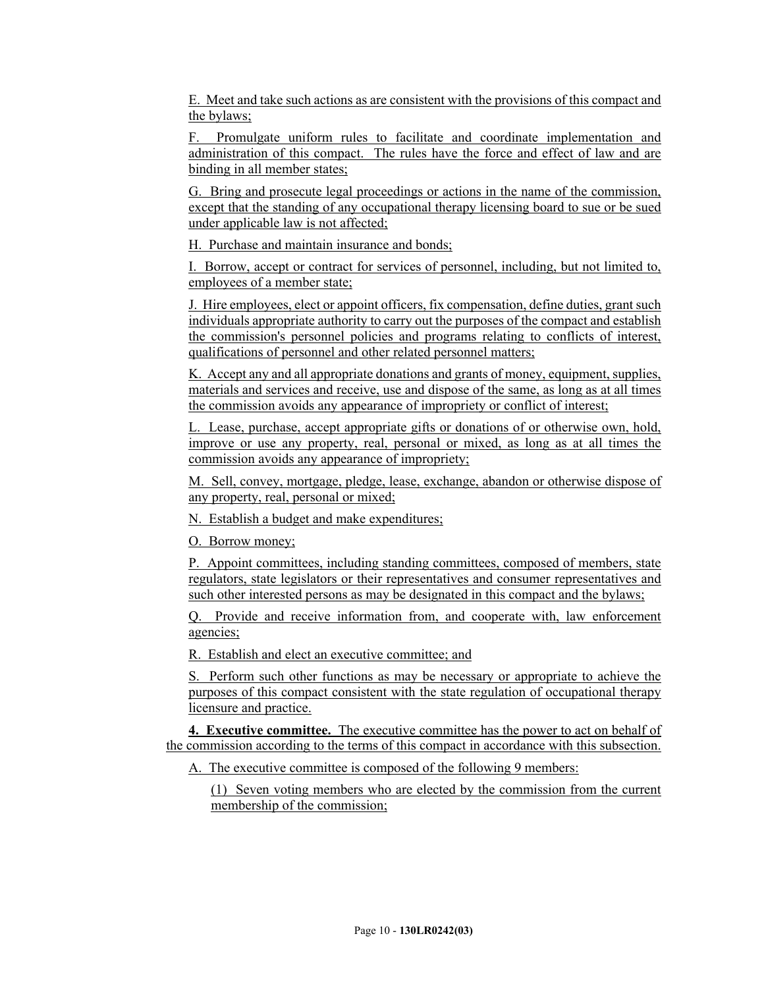E. Meet and take such actions as are consistent with the provisions of this compact and the bylaws;

F. Promulgate uniform rules to facilitate and coordinate implementation and administration of this compact. The rules have the force and effect of law and are binding in all member states;

G. Bring and prosecute legal proceedings or actions in the name of the commission, except that the standing of any occupational therapy licensing board to sue or be sued under applicable law is not affected;

H. Purchase and maintain insurance and bonds;

I. Borrow, accept or contract for services of personnel, including, but not limited to, employees of a member state;

J. Hire employees, elect or appoint officers, fix compensation, define duties, grant such individuals appropriate authority to carry out the purposes of the compact and establish the commission's personnel policies and programs relating to conflicts of interest, qualifications of personnel and other related personnel matters;

K. Accept any and all appropriate donations and grants of money, equipment, supplies, materials and services and receive, use and dispose of the same, as long as at all times the commission avoids any appearance of impropriety or conflict of interest;

L. Lease, purchase, accept appropriate gifts or donations of or otherwise own, hold, improve or use any property, real, personal or mixed, as long as at all times the commission avoids any appearance of impropriety;

M. Sell, convey, mortgage, pledge, lease, exchange, abandon or otherwise dispose of any property, real, personal or mixed;

N. Establish a budget and make expenditures;

O. Borrow money;

P. Appoint committees, including standing committees, composed of members, state regulators, state legislators or their representatives and consumer representatives and such other interested persons as may be designated in this compact and the bylaws;

Q. Provide and receive information from, and cooperate with, law enforcement agencies;

R. Establish and elect an executive committee; and

S. Perform such other functions as may be necessary or appropriate to achieve the purposes of this compact consistent with the state regulation of occupational therapy licensure and practice.

**4. Executive committee.** The executive committee has the power to act on behalf of the commission according to the terms of this compact in accordance with this subsection.

A. The executive committee is composed of the following 9 members:

(1) Seven voting members who are elected by the commission from the current membership of the commission;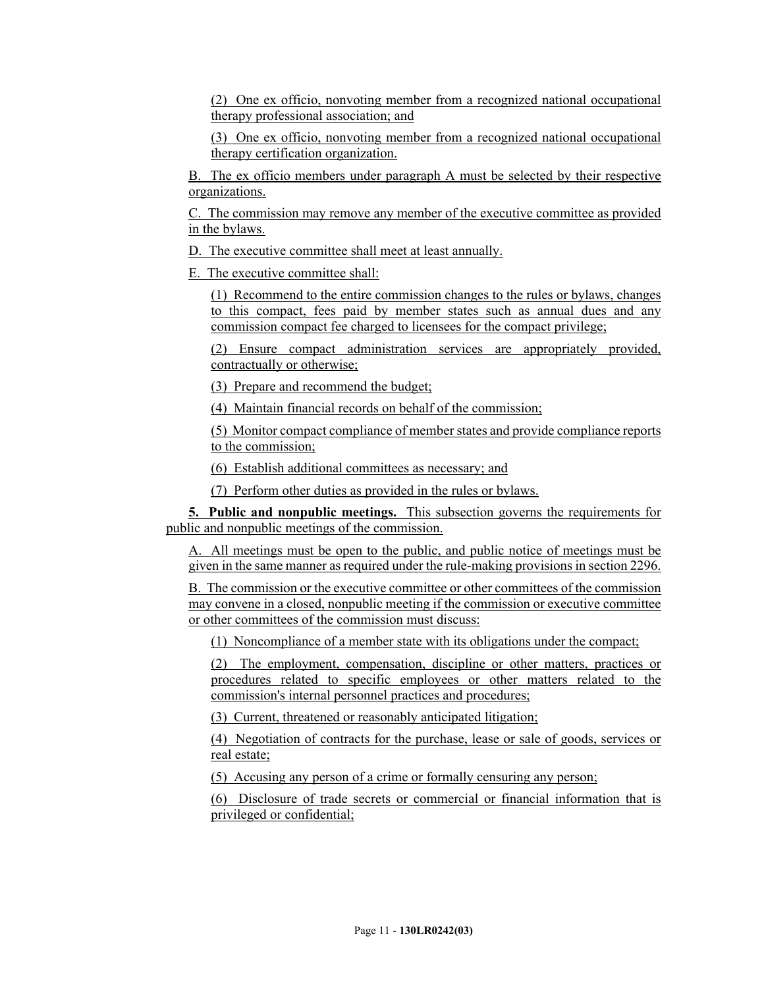(2) One ex officio, nonvoting member from a recognized national occupational therapy professional association; and

(3) One ex officio, nonvoting member from a recognized national occupational therapy certification organization.

B. The ex officio members under paragraph A must be selected by their respective organizations.

C. The commission may remove any member of the executive committee as provided in the bylaws.

D. The executive committee shall meet at least annually.

E. The executive committee shall:

(1) Recommend to the entire commission changes to the rules or bylaws, changes to this compact, fees paid by member states such as annual dues and any commission compact fee charged to licensees for the compact privilege;

(2) Ensure compact administration services are appropriately provided, contractually or otherwise;

(3) Prepare and recommend the budget;

(4) Maintain financial records on behalf of the commission;

(5) Monitor compact compliance of member states and provide compliance reports to the commission;

(6) Establish additional committees as necessary; and

(7) Perform other duties as provided in the rules or bylaws.

**5. Public and nonpublic meetings.** This subsection governs the requirements for public and nonpublic meetings of the commission.

A. All meetings must be open to the public, and public notice of meetings must be given in the same manner as required under the rule-making provisions in section 2296.

B. The commission or the executive committee or other committees of the commission may convene in a closed, nonpublic meeting if the commission or executive committee or other committees of the commission must discuss:

(1) Noncompliance of a member state with its obligations under the compact;

(2) The employment, compensation, discipline or other matters, practices or procedures related to specific employees or other matters related to the commission's internal personnel practices and procedures;

(3) Current, threatened or reasonably anticipated litigation;

(4) Negotiation of contracts for the purchase, lease or sale of goods, services or real estate;

(5) Accusing any person of a crime or formally censuring any person;

(6) Disclosure of trade secrets or commercial or financial information that is privileged or confidential;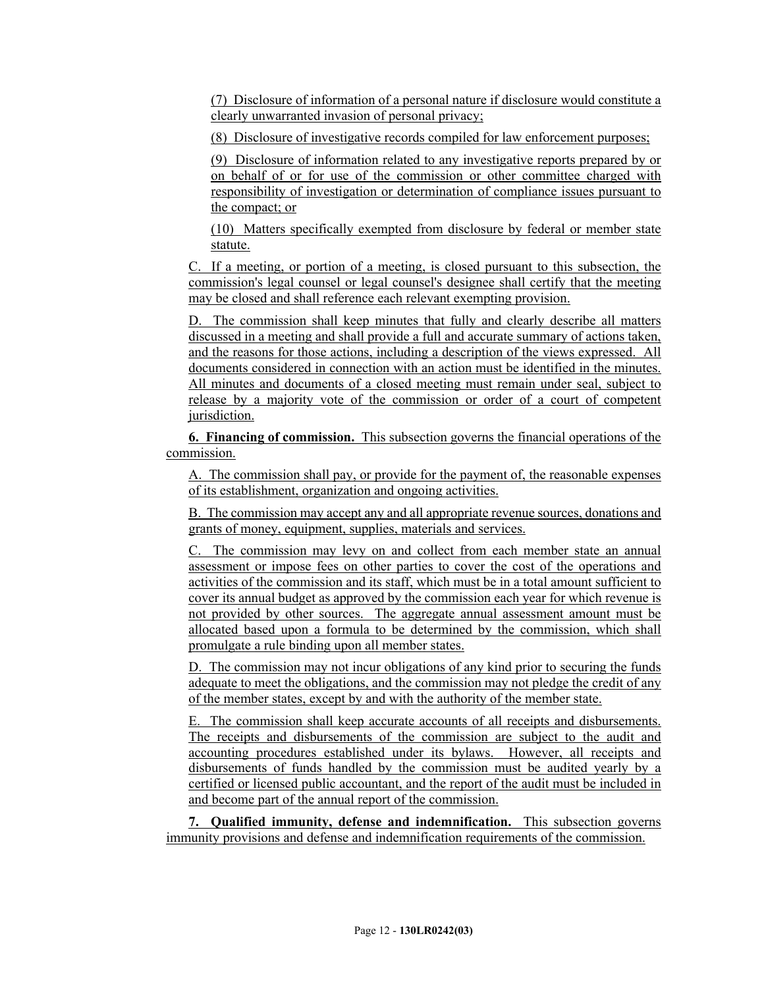(7) Disclosure of information of a personal nature if disclosure would constitute a clearly unwarranted invasion of personal privacy;

(8) Disclosure of investigative records compiled for law enforcement purposes;

(9) Disclosure of information related to any investigative reports prepared by or on behalf of or for use of the commission or other committee charged with responsibility of investigation or determination of compliance issues pursuant to the compact; or

(10) Matters specifically exempted from disclosure by federal or member state statute.

C. If a meeting, or portion of a meeting, is closed pursuant to this subsection, the commission's legal counsel or legal counsel's designee shall certify that the meeting may be closed and shall reference each relevant exempting provision.

D. The commission shall keep minutes that fully and clearly describe all matters discussed in a meeting and shall provide a full and accurate summary of actions taken, and the reasons for those actions, including a description of the views expressed. All documents considered in connection with an action must be identified in the minutes. All minutes and documents of a closed meeting must remain under seal, subject to release by a majority vote of the commission or order of a court of competent jurisdiction.

**6. Financing of commission.** This subsection governs the financial operations of the commission.

A. The commission shall pay, or provide for the payment of, the reasonable expenses of its establishment, organization and ongoing activities.

B. The commission may accept any and all appropriate revenue sources, donations and grants of money, equipment, supplies, materials and services.

C. The commission may levy on and collect from each member state an annual assessment or impose fees on other parties to cover the cost of the operations and activities of the commission and its staff, which must be in a total amount sufficient to cover its annual budget as approved by the commission each year for which revenue is not provided by other sources. The aggregate annual assessment amount must be allocated based upon a formula to be determined by the commission, which shall promulgate a rule binding upon all member states.

D. The commission may not incur obligations of any kind prior to securing the funds adequate to meet the obligations, and the commission may not pledge the credit of any of the member states, except by and with the authority of the member state.

E. The commission shall keep accurate accounts of all receipts and disbursements. The receipts and disbursements of the commission are subject to the audit and accounting procedures established under its bylaws. However, all receipts and disbursements of funds handled by the commission must be audited yearly by a certified or licensed public accountant, and the report of the audit must be included in and become part of the annual report of the commission.

**7. Qualified immunity, defense and indemnification.** This subsection governs immunity provisions and defense and indemnification requirements of the commission.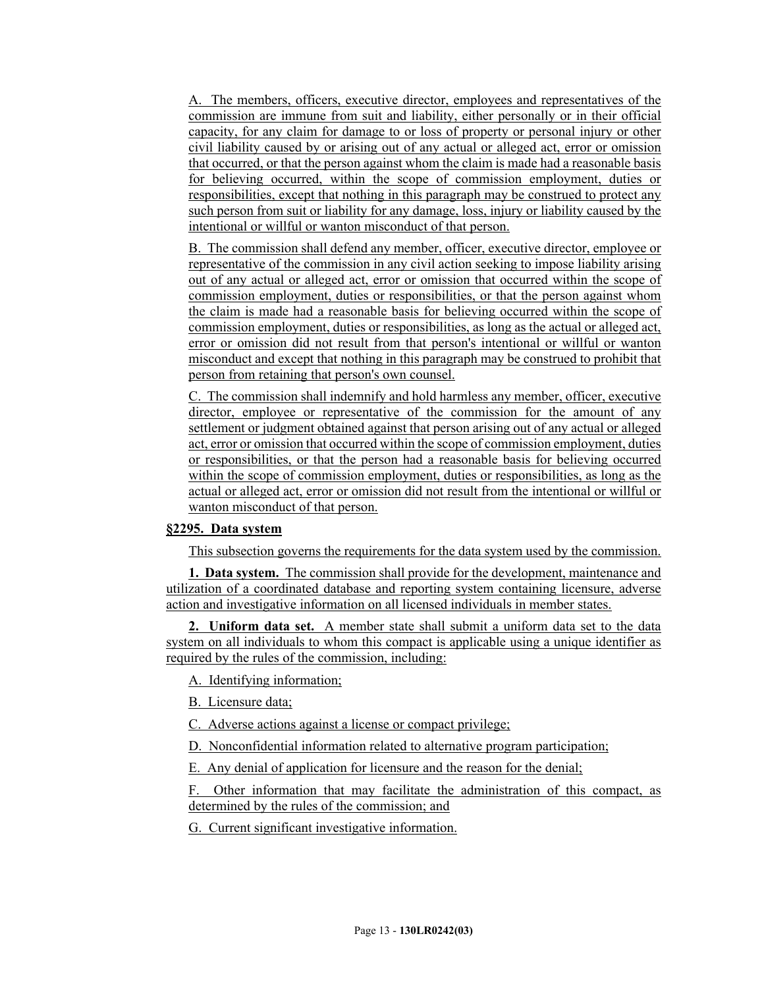A. The members, officers, executive director, employees and representatives of the commission are immune from suit and liability, either personally or in their official capacity, for any claim for damage to or loss of property or personal injury or other civil liability caused by or arising out of any actual or alleged act, error or omission that occurred, or that the person against whom the claim is made had a reasonable basis for believing occurred, within the scope of commission employment, duties or responsibilities, except that nothing in this paragraph may be construed to protect any such person from suit or liability for any damage, loss, injury or liability caused by the intentional or willful or wanton misconduct of that person.

B. The commission shall defend any member, officer, executive director, employee or representative of the commission in any civil action seeking to impose liability arising out of any actual or alleged act, error or omission that occurred within the scope of commission employment, duties or responsibilities, or that the person against whom the claim is made had a reasonable basis for believing occurred within the scope of commission employment, duties or responsibilities, as long as the actual or alleged act, error or omission did not result from that person's intentional or willful or wanton misconduct and except that nothing in this paragraph may be construed to prohibit that person from retaining that person's own counsel.

C. The commission shall indemnify and hold harmless any member, officer, executive director, employee or representative of the commission for the amount of any settlement or judgment obtained against that person arising out of any actual or alleged act, error or omission that occurred within the scope of commission employment, duties or responsibilities, or that the person had a reasonable basis for believing occurred within the scope of commission employment, duties or responsibilities, as long as the actual or alleged act, error or omission did not result from the intentional or willful or wanton misconduct of that person.

# **§2295. Data system**

This subsection governs the requirements for the data system used by the commission.

**1. Data system.** The commission shall provide for the development, maintenance and utilization of a coordinated database and reporting system containing licensure, adverse action and investigative information on all licensed individuals in member states.

**2. Uniform data set.** A member state shall submit a uniform data set to the data system on all individuals to whom this compact is applicable using a unique identifier as required by the rules of the commission, including:

A. Identifying information;

B. Licensure data;

C. Adverse actions against a license or compact privilege;

D. Nonconfidential information related to alternative program participation;

E. Any denial of application for licensure and the reason for the denial;

F. Other information that may facilitate the administration of this compact, as determined by the rules of the commission; and

G. Current significant investigative information.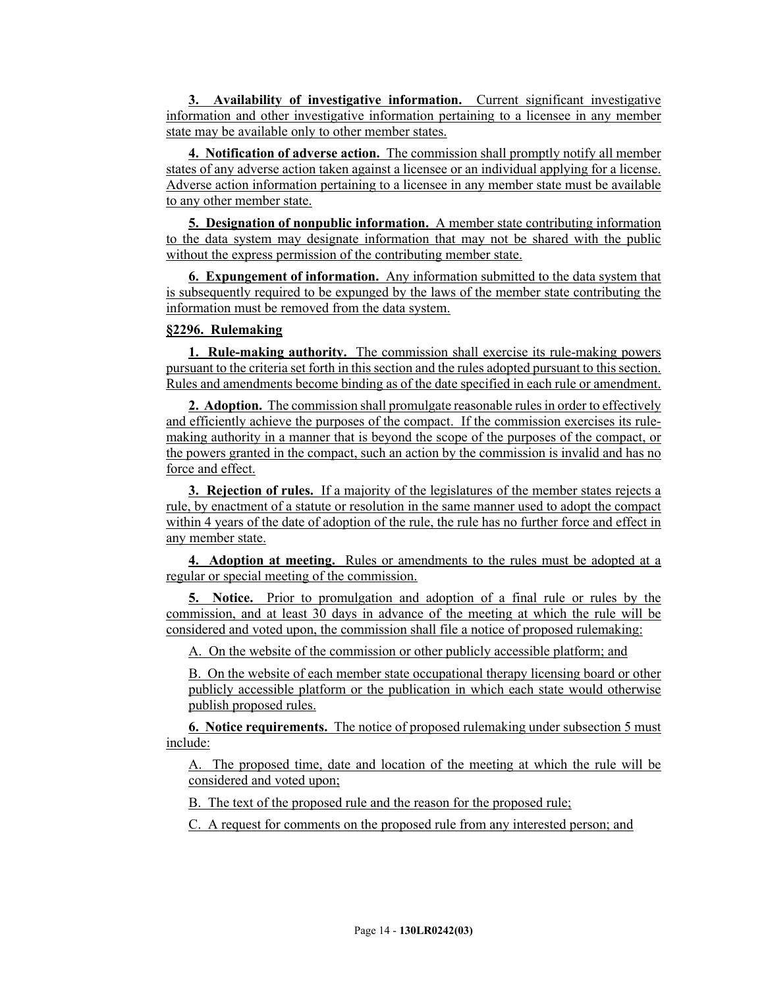**3. Availability of investigative information.** Current significant investigative information and other investigative information pertaining to a licensee in any member state may be available only to other member states.

**4. Notification of adverse action.** The commission shall promptly notify all member states of any adverse action taken against a licensee or an individual applying for a license. Adverse action information pertaining to a licensee in any member state must be available to any other member state.

**5. Designation of nonpublic information.** A member state contributing information to the data system may designate information that may not be shared with the public without the express permission of the contributing member state.

**6. Expungement of information.** Any information submitted to the data system that is subsequently required to be expunged by the laws of the member state contributing the information must be removed from the data system.

# **§2296. Rulemaking**

**1. Rule-making authority.** The commission shall exercise its rule-making powers pursuant to the criteria set forth in this section and the rules adopted pursuant to this section. Rules and amendments become binding as of the date specified in each rule or amendment.

**2. Adoption.** The commission shall promulgate reasonable rules in order to effectively and efficiently achieve the purposes of the compact. If the commission exercises its rulemaking authority in a manner that is beyond the scope of the purposes of the compact, or the powers granted in the compact, such an action by the commission is invalid and has no force and effect.

**3. Rejection of rules.** If a majority of the legislatures of the member states rejects a rule, by enactment of a statute or resolution in the same manner used to adopt the compact within 4 years of the date of adoption of the rule, the rule has no further force and effect in any member state.

**4. Adoption at meeting.** Rules or amendments to the rules must be adopted at a regular or special meeting of the commission.

**5. Notice.** Prior to promulgation and adoption of a final rule or rules by the commission, and at least 30 days in advance of the meeting at which the rule will be considered and voted upon, the commission shall file a notice of proposed rulemaking:

A. On the website of the commission or other publicly accessible platform; and

B. On the website of each member state occupational therapy licensing board or other publicly accessible platform or the publication in which each state would otherwise publish proposed rules.

**6. Notice requirements.** The notice of proposed rulemaking under subsection 5 must include:

A. The proposed time, date and location of the meeting at which the rule will be considered and voted upon;

B. The text of the proposed rule and the reason for the proposed rule;

C. A request for comments on the proposed rule from any interested person; and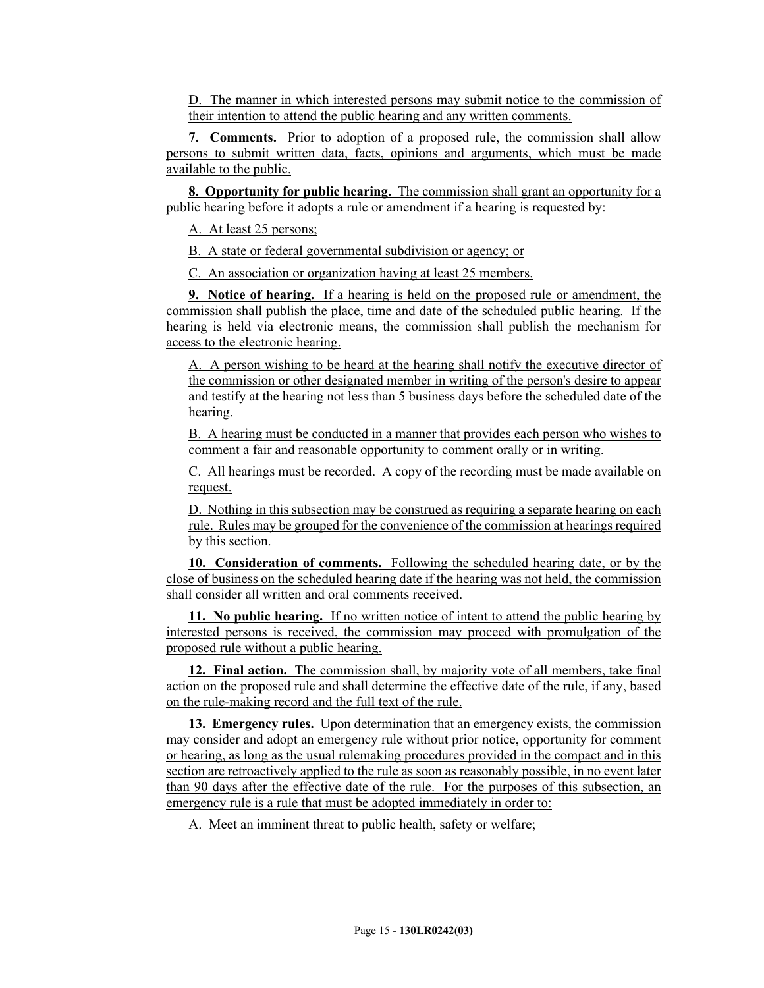D. The manner in which interested persons may submit notice to the commission of their intention to attend the public hearing and any written comments.

**7. Comments.** Prior to adoption of a proposed rule, the commission shall allow persons to submit written data, facts, opinions and arguments, which must be made available to the public.

**8. Opportunity for public hearing.** The commission shall grant an opportunity for a public hearing before it adopts a rule or amendment if a hearing is requested by:

A. At least 25 persons;

B. A state or federal governmental subdivision or agency; or

C. An association or organization having at least 25 members.

**9. Notice of hearing.** If a hearing is held on the proposed rule or amendment, the commission shall publish the place, time and date of the scheduled public hearing. If the hearing is held via electronic means, the commission shall publish the mechanism for access to the electronic hearing.

A. A person wishing to be heard at the hearing shall notify the executive director of the commission or other designated member in writing of the person's desire to appear and testify at the hearing not less than 5 business days before the scheduled date of the hearing.

B. A hearing must be conducted in a manner that provides each person who wishes to comment a fair and reasonable opportunity to comment orally or in writing.

C. All hearings must be recorded. A copy of the recording must be made available on request.

D. Nothing in this subsection may be construed as requiring a separate hearing on each rule. Rules may be grouped for the convenience of the commission at hearings required by this section.

**10. Consideration of comments.** Following the scheduled hearing date, or by the close of business on the scheduled hearing date if the hearing was not held, the commission shall consider all written and oral comments received.

**11. No public hearing.** If no written notice of intent to attend the public hearing by interested persons is received, the commission may proceed with promulgation of the proposed rule without a public hearing.

**12. Final action.** The commission shall, by majority vote of all members, take final action on the proposed rule and shall determine the effective date of the rule, if any, based on the rule-making record and the full text of the rule.

**13. Emergency rules.** Upon determination that an emergency exists, the commission may consider and adopt an emergency rule without prior notice, opportunity for comment or hearing, as long as the usual rulemaking procedures provided in the compact and in this section are retroactively applied to the rule as soon as reasonably possible, in no event later than 90 days after the effective date of the rule. For the purposes of this subsection, an emergency rule is a rule that must be adopted immediately in order to:

A. Meet an imminent threat to public health, safety or welfare;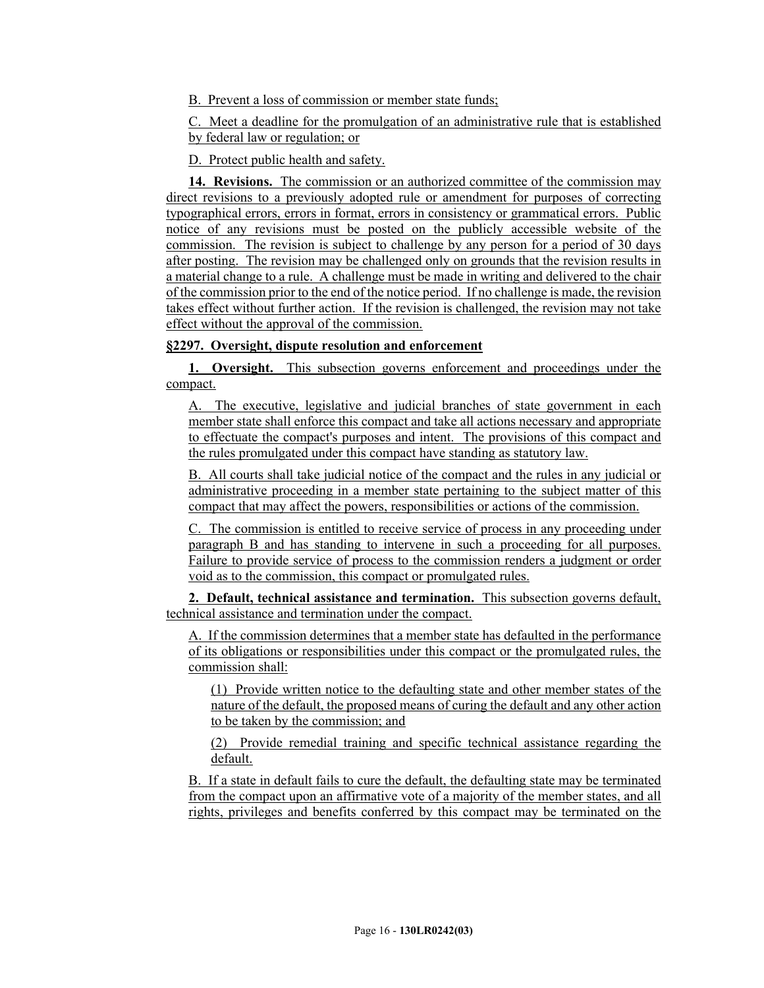B. Prevent a loss of commission or member state funds;

C. Meet a deadline for the promulgation of an administrative rule that is established by federal law or regulation; or

D. Protect public health and safety.

**14. Revisions.** The commission or an authorized committee of the commission may direct revisions to a previously adopted rule or amendment for purposes of correcting typographical errors, errors in format, errors in consistency or grammatical errors. Public notice of any revisions must be posted on the publicly accessible website of the commission. The revision is subject to challenge by any person for a period of 30 days after posting. The revision may be challenged only on grounds that the revision results in a material change to a rule. A challenge must be made in writing and delivered to the chair of the commission prior to the end of the notice period. If no challenge is made, the revision takes effect without further action. If the revision is challenged, the revision may not take effect without the approval of the commission.

# **§2297. Oversight, dispute resolution and enforcement**

**1. Oversight.** This subsection governs enforcement and proceedings under the compact.

A. The executive, legislative and judicial branches of state government in each member state shall enforce this compact and take all actions necessary and appropriate to effectuate the compact's purposes and intent. The provisions of this compact and the rules promulgated under this compact have standing as statutory law.

B. All courts shall take judicial notice of the compact and the rules in any judicial or administrative proceeding in a member state pertaining to the subject matter of this compact that may affect the powers, responsibilities or actions of the commission.

C. The commission is entitled to receive service of process in any proceeding under paragraph B and has standing to intervene in such a proceeding for all purposes. Failure to provide service of process to the commission renders a judgment or order void as to the commission, this compact or promulgated rules.

**2. Default, technical assistance and termination.** This subsection governs default, technical assistance and termination under the compact.

A. If the commission determines that a member state has defaulted in the performance of its obligations or responsibilities under this compact or the promulgated rules, the commission shall:

(1) Provide written notice to the defaulting state and other member states of the nature of the default, the proposed means of curing the default and any other action to be taken by the commission; and

(2) Provide remedial training and specific technical assistance regarding the default.

B. If a state in default fails to cure the default, the defaulting state may be terminated from the compact upon an affirmative vote of a majority of the member states, and all rights, privileges and benefits conferred by this compact may be terminated on the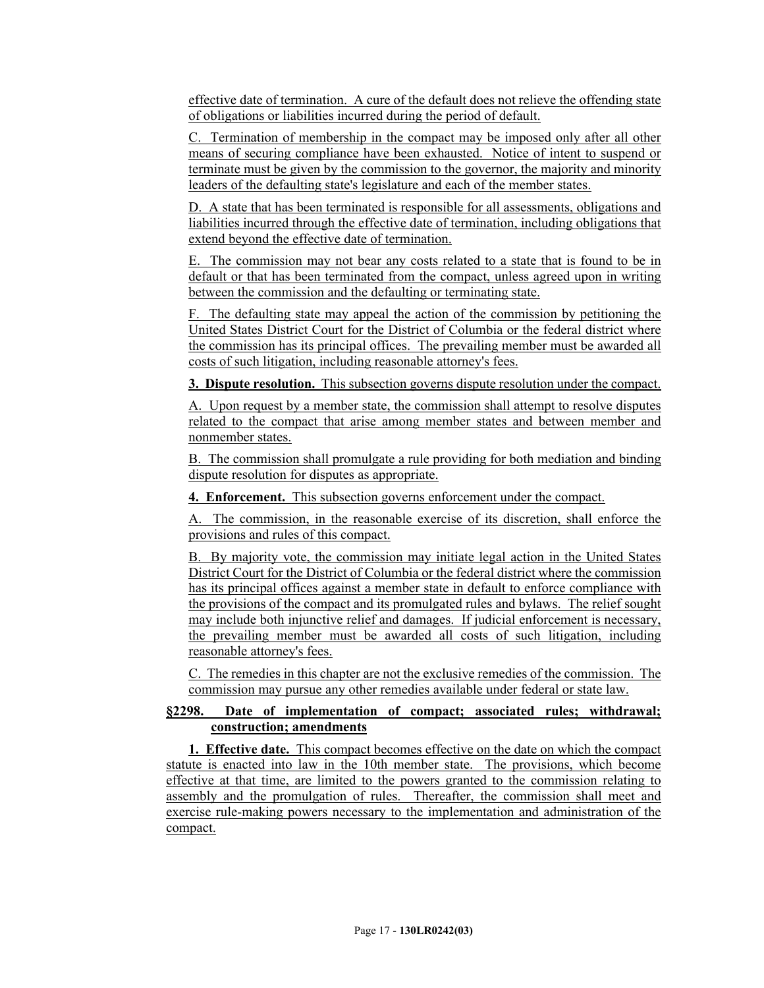effective date of termination. A cure of the default does not relieve the offending state of obligations or liabilities incurred during the period of default.

C. Termination of membership in the compact may be imposed only after all other means of securing compliance have been exhausted. Notice of intent to suspend or terminate must be given by the commission to the governor, the majority and minority leaders of the defaulting state's legislature and each of the member states.

D. A state that has been terminated is responsible for all assessments, obligations and liabilities incurred through the effective date of termination, including obligations that extend beyond the effective date of termination.

E. The commission may not bear any costs related to a state that is found to be in default or that has been terminated from the compact, unless agreed upon in writing between the commission and the defaulting or terminating state.

F. The defaulting state may appeal the action of the commission by petitioning the United States District Court for the District of Columbia or the federal district where the commission has its principal offices. The prevailing member must be awarded all costs of such litigation, including reasonable attorney's fees.

**3. Dispute resolution.** This subsection governs dispute resolution under the compact.

A. Upon request by a member state, the commission shall attempt to resolve disputes related to the compact that arise among member states and between member and nonmember states.

B. The commission shall promulgate a rule providing for both mediation and binding dispute resolution for disputes as appropriate.

**4. Enforcement.** This subsection governs enforcement under the compact.

A. The commission, in the reasonable exercise of its discretion, shall enforce the provisions and rules of this compact.

B. By majority vote, the commission may initiate legal action in the United States District Court for the District of Columbia or the federal district where the commission has its principal offices against a member state in default to enforce compliance with the provisions of the compact and its promulgated rules and bylaws. The relief sought may include both injunctive relief and damages. If judicial enforcement is necessary, the prevailing member must be awarded all costs of such litigation, including reasonable attorney's fees.

C. The remedies in this chapter are not the exclusive remedies of the commission. The commission may pursue any other remedies available under federal or state law.

# **§2298. Date of implementation of compact; associated rules; withdrawal; construction; amendments**

**1. Effective date.** This compact becomes effective on the date on which the compact statute is enacted into law in the 10th member state. The provisions, which become effective at that time, are limited to the powers granted to the commission relating to assembly and the promulgation of rules. Thereafter, the commission shall meet and exercise rule-making powers necessary to the implementation and administration of the compact.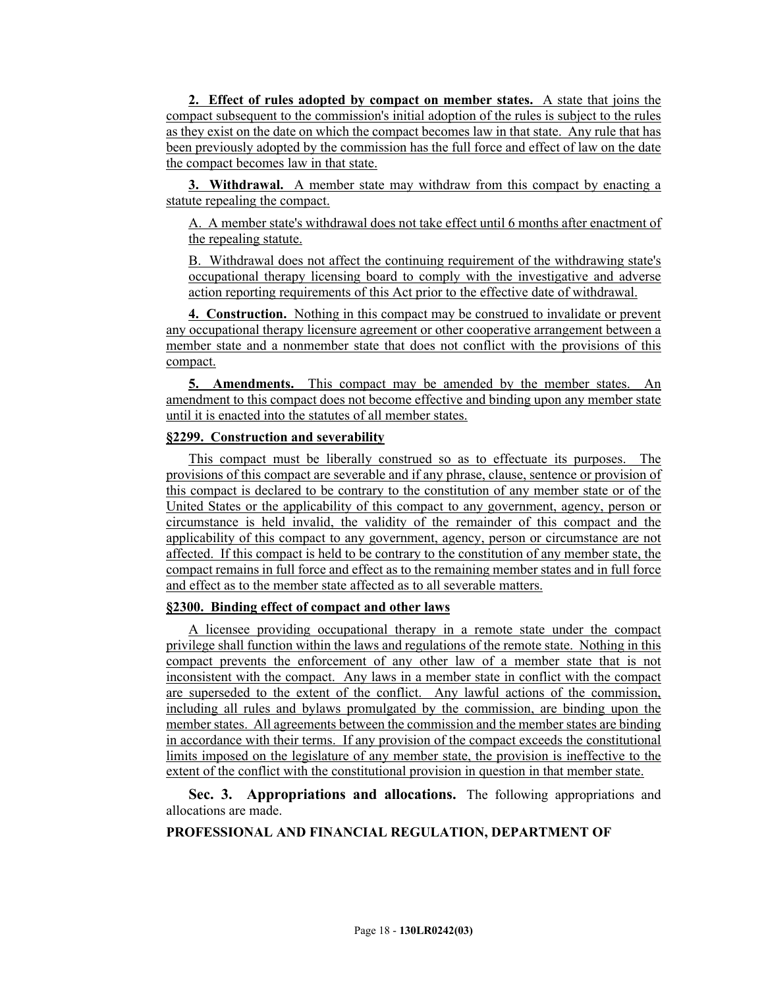**2. Effect of rules adopted by compact on member states.** A state that joins the compact subsequent to the commission's initial adoption of the rules is subject to the rules as they exist on the date on which the compact becomes law in that state. Any rule that has been previously adopted by the commission has the full force and effect of law on the date the compact becomes law in that state.

**3. Withdrawal.** A member state may withdraw from this compact by enacting a statute repealing the compact.

A. A member state's withdrawal does not take effect until 6 months after enactment of the repealing statute.

B. Withdrawal does not affect the continuing requirement of the withdrawing state's occupational therapy licensing board to comply with the investigative and adverse action reporting requirements of this Act prior to the effective date of withdrawal.

**4. Construction.** Nothing in this compact may be construed to invalidate or prevent any occupational therapy licensure agreement or other cooperative arrangement between a member state and a nonmember state that does not conflict with the provisions of this compact.

**5. Amendments.** This compact may be amended by the member states. An amendment to this compact does not become effective and binding upon any member state until it is enacted into the statutes of all member states.

# **§2299. Construction and severability**

This compact must be liberally construed so as to effectuate its purposes. The provisions of this compact are severable and if any phrase, clause, sentence or provision of this compact is declared to be contrary to the constitution of any member state or of the United States or the applicability of this compact to any government, agency, person or circumstance is held invalid, the validity of the remainder of this compact and the applicability of this compact to any government, agency, person or circumstance are not affected. If this compact is held to be contrary to the constitution of any member state, the compact remains in full force and effect as to the remaining member states and in full force and effect as to the member state affected as to all severable matters.

#### **§2300. Binding effect of compact and other laws**

A licensee providing occupational therapy in a remote state under the compact privilege shall function within the laws and regulations of the remote state. Nothing in this compact prevents the enforcement of any other law of a member state that is not inconsistent with the compact. Any laws in a member state in conflict with the compact are superseded to the extent of the conflict. Any lawful actions of the commission, including all rules and bylaws promulgated by the commission, are binding upon the member states. All agreements between the commission and the member states are binding in accordance with their terms. If any provision of the compact exceeds the constitutional limits imposed on the legislature of any member state, the provision is ineffective to the extent of the conflict with the constitutional provision in question in that member state.

**Sec. 3. Appropriations and allocations.** The following appropriations and allocations are made.

# **PROFESSIONAL AND FINANCIAL REGULATION, DEPARTMENT OF**